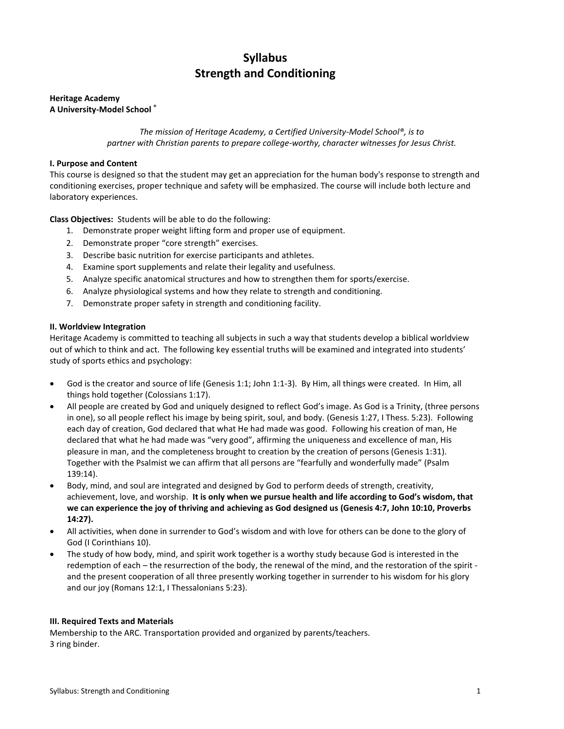# **Syllabus Strength and Conditioning**

# **Heritage Academy A University-Model School ®**

*The mission of Heritage Academy, a Certified University-Model School®, is to partner with Christian parents to prepare college-worthy, character witnesses for Jesus Christ.*

# **I. Purpose and Content**

This course is designed so that the student may get an appreciation for the human body's response to strength and conditioning exercises, proper technique and safety will be emphasized. The course will include both lecture and laboratory experiences.

**Class Objectives:** Students will be able to do the following:

- 1. Demonstrate proper weight lifting form and proper use of equipment.
- 2. Demonstrate proper "core strength" exercises.
- 3. Describe basic nutrition for exercise participants and athletes.
- 4. Examine sport supplements and relate their legality and usefulness.
- 5. Analyze specific anatomical structures and how to strengthen them for sports/exercise.
- 6. Analyze physiological systems and how they relate to strength and conditioning.
- 7. Demonstrate proper safety in strength and conditioning facility.

# **II. Worldview Integration**

Heritage Academy is committed to teaching all subjects in such a way that students develop a biblical worldview out of which to think and act. The following key essential truths will be examined and integrated into students' study of sports ethics and psychology:

- God is the creator and source of life (Genesis 1:1; John 1:1-3). By Him, all things were created. In Him, all things hold together (Colossians 1:17).
- All people are created by God and uniquely designed to reflect God's image. As God is a Trinity, (three persons in one), so all people reflect his image by being spirit, soul, and body. (Genesis 1:27, I Thess. 5:23). Following each day of creation, God declared that what He had made was good. Following his creation of man, He declared that what he had made was "very good", affirming the uniqueness and excellence of man, His pleasure in man, and the completeness brought to creation by the creation of persons (Genesis 1:31). Together with the Psalmist we can affirm that all persons are "fearfully and wonderfully made" (Psalm 139:14).
- Body, mind, and soul are integrated and designed by God to perform deeds of strength, creativity, achievement, love, and worship. **It is only when we pursue health and life according to God's wisdom, that we can experience the joy of thriving and achieving as God designed us (Genesis 4:7, John 10:10, Proverbs 14:27).**
- All activities, when done in surrender to God's wisdom and with love for others can be done to the glory of God (I Corinthians 10).
- The study of how body, mind, and spirit work together is a worthy study because God is interested in the redemption of each – the resurrection of the body, the renewal of the mind, and the restoration of the spirit and the present cooperation of all three presently working together in surrender to his wisdom for his glory and our joy (Romans 12:1, I Thessalonians 5:23).

# **III. Required Texts and Materials**

Membership to the ARC. Transportation provided and organized by parents/teachers. 3 ring binder.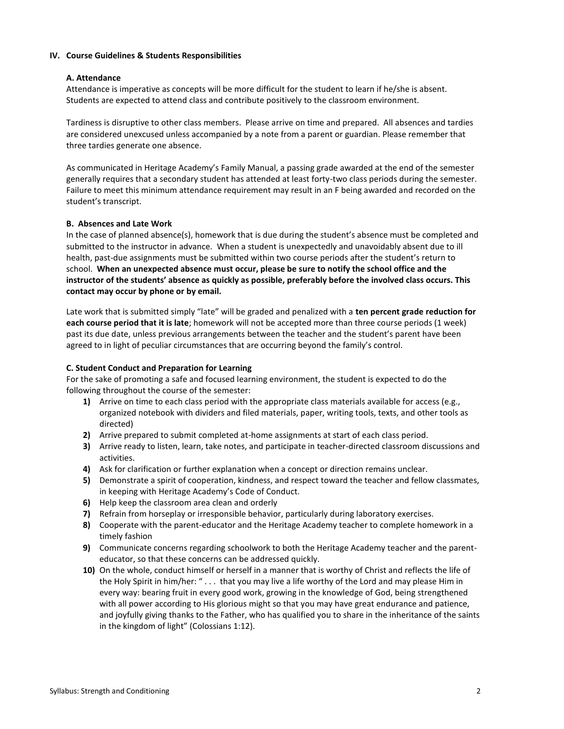#### **IV. Course Guidelines & Students Responsibilities**

#### **A. Attendance**

Attendance is imperative as concepts will be more difficult for the student to learn if he/she is absent. Students are expected to attend class and contribute positively to the classroom environment.

Tardiness is disruptive to other class members. Please arrive on time and prepared. All absences and tardies are considered unexcused unless accompanied by a note from a parent or guardian. Please remember that three tardies generate one absence.

As communicated in Heritage Academy's Family Manual, a passing grade awarded at the end of the semester generally requires that a secondary student has attended at least forty-two class periods during the semester. Failure to meet this minimum attendance requirement may result in an F being awarded and recorded on the student's transcript.

#### **B. Absences and Late Work**

In the case of planned absence(s), homework that is due during the student's absence must be completed and submitted to the instructor in advance. When a student is unexpectedly and unavoidably absent due to ill health, past-due assignments must be submitted within two course periods after the student's return to school. **When an unexpected absence must occur, please be sure to notify the school office and the instructor of the students' absence as quickly as possible, preferably before the involved class occurs. This contact may occur by phone or by email.**

Late work that is submitted simply "late" will be graded and penalized with a **ten percent grade reduction for each course period that it is late**; homework will not be accepted more than three course periods (1 week) past its due date, unless previous arrangements between the teacher and the student's parent have been agreed to in light of peculiar circumstances that are occurring beyond the family's control.

# **C. Student Conduct and Preparation for Learning**

For the sake of promoting a safe and focused learning environment, the student is expected to do the following throughout the course of the semester:

- **1)** Arrive on time to each class period with the appropriate class materials available for access (e.g., organized notebook with dividers and filed materials, paper, writing tools, texts, and other tools as directed)
- **2)** Arrive prepared to submit completed at-home assignments at start of each class period.
- **3)** Arrive ready to listen, learn, take notes, and participate in teacher-directed classroom discussions and activities.
- **4)** Ask for clarification or further explanation when a concept or direction remains unclear.
- **5)** Demonstrate a spirit of cooperation, kindness, and respect toward the teacher and fellow classmates, in keeping with Heritage Academy's Code of Conduct.
- **6)** Help keep the classroom area clean and orderly
- **7)** Refrain from horseplay or irresponsible behavior, particularly during laboratory exercises.
- **8)** Cooperate with the parent-educator and the Heritage Academy teacher to complete homework in a timely fashion
- **9)** Communicate concerns regarding schoolwork to both the Heritage Academy teacher and the parenteducator, so that these concerns can be addressed quickly.
- **10)** On the whole, conduct himself or herself in a manner that is worthy of Christ and reflects the life of the Holy Spirit in him/her: " . . . that you may live a life worthy of the Lord and may please Him in every way: bearing fruit in every good work, growing in the knowledge of God, being strengthened with all power according to His glorious might so that you may have great endurance and patience, and joyfully giving thanks to the Father, who has qualified you to share in the inheritance of the saints in the kingdom of light" (Colossians 1:12).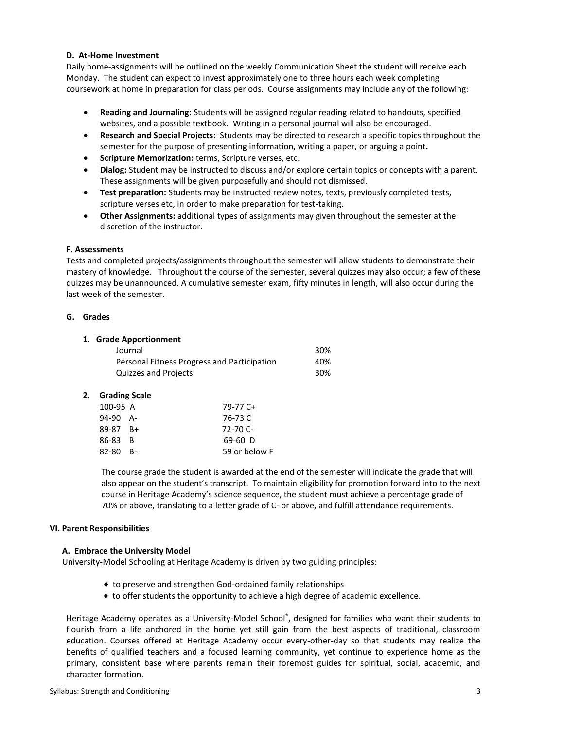#### **D. At-Home Investment**

Daily home-assignments will be outlined on the weekly Communication Sheet the student will receive each Monday. The student can expect to invest approximately one to three hours each week completing coursework at home in preparation for class periods. Course assignments may include any of the following:

- **Reading and Journaling:** Students will be assigned regular reading related to handouts, specified websites, and a possible textbook. Writing in a personal journal will also be encouraged.
- **Research and Special Projects:** Students may be directed to research a specific topics throughout the semester for the purpose of presenting information, writing a paper, or arguing a point**.**
- **Scripture Memorization:** terms, Scripture verses, etc.
- **Dialog:** Student may be instructed to discuss and/or explore certain topics or concepts with a parent. These assignments will be given purposefully and should not dismissed.
- **Test preparation:** Students may be instructed review notes, texts, previously completed tests, scripture verses etc, in order to make preparation for test-taking.
- **Other Assignments:** additional types of assignments may given throughout the semester at the discretion of the instructor.

# **F. Assessments**

Tests and completed projects/assignments throughout the semester will allow students to demonstrate their mastery of knowledge. Throughout the course of the semester, several quizzes may also occur; a few of these quizzes may be unannounced. A cumulative semester exam, fifty minutes in length, will also occur during the last week of the semester.

#### **G. Grades**

# **1. Grade Apportionment**

| Journal                                     | 30% |
|---------------------------------------------|-----|
| Personal Fitness Progress and Participation | 40% |
| Quizzes and Projects                        | 30% |

#### **2. Grading Scale**

| 100-95 A     | 79-77 C+      |
|--------------|---------------|
| $94-90$ A-   | 76-73 C       |
| $89-87$ $B+$ | $72 - 70$ C-  |
| 86-83 B      | $69-60$ D     |
| $82-80$ B-   | 59 or below F |

The course grade the student is awarded at the end of the semester will indicate the grade that will also appear on the student's transcript. To maintain eligibility for promotion forward into to the next course in Heritage Academy's science sequence, the student must achieve a percentage grade of 70% or above, translating to a letter grade of C- or above, and fulfill attendance requirements.

#### **VI. Parent Responsibilities**

#### **A. Embrace the University Model**

University-Model Schooling at Heritage Academy is driven by two guiding principles:

- ♦ to preserve and strengthen God-ordained family relationships
- ♦ to offer students the opportunity to achieve a high degree of academic excellence.

Heritage Academy operates as a University-Model School®, designed for families who want their students to flourish from a life anchored in the home yet still gain from the best aspects of traditional, classroom education. Courses offered at Heritage Academy occur every-other-day so that students may realize the benefits of qualified teachers and a focused learning community, yet continue to experience home as the primary, consistent base where parents remain their foremost guides for spiritual, social, academic, and character formation.